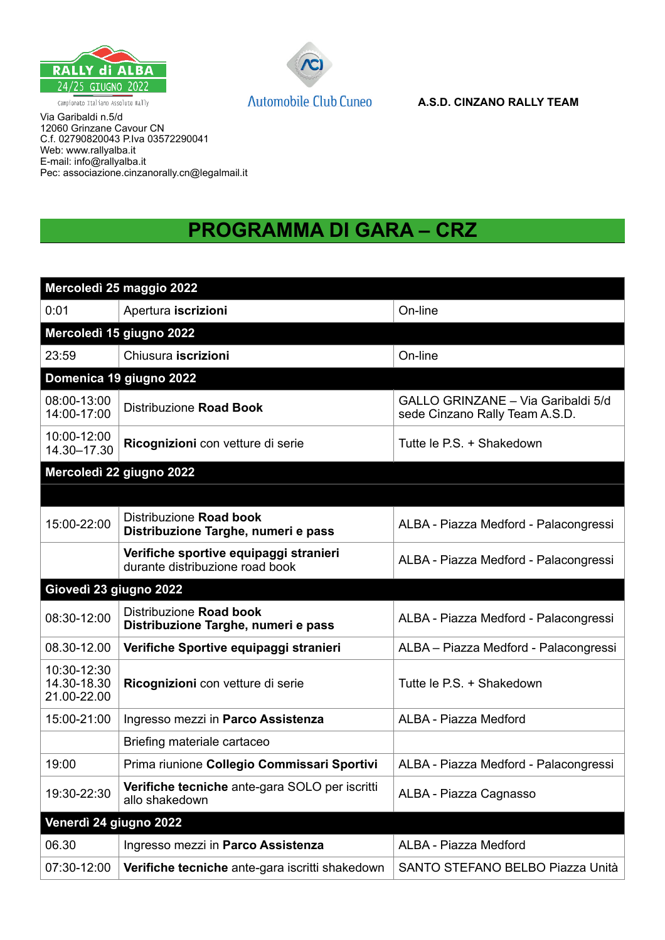



Via Garibaldi n.5/d 12060 Grinzane Cavour CN C.f. 02790820043 P.Iva 03572290041 Web: www.rallyalba.it E-mail: info@rallyalba.it Pec: associazione.cinzanorally.cn@legalmail.it

## **PROGRAMMA DI GARA – CRZ**

|                                           | Mercoledì 25 maggio 2022                                                  |                                                                      |
|-------------------------------------------|---------------------------------------------------------------------------|----------------------------------------------------------------------|
| 0:01                                      | Apertura iscrizioni<br>On-line                                            |                                                                      |
|                                           | Mercoledì 15 giugno 2022                                                  |                                                                      |
| 23:59                                     | Chiusura iscrizioni                                                       | On-line                                                              |
|                                           | Domenica 19 giugno 2022                                                   |                                                                      |
| 08:00-13:00<br>14:00-17:00                | Distribuzione Road Book                                                   | GALLO GRINZANE - Via Garibaldi 5/d<br>sede Cinzano Rally Team A.S.D. |
| 10:00-12:00<br>14.30-17.30                | Ricognizioni con vetture di serie                                         | Tutte le P.S. + Shakedown                                            |
|                                           | Mercoledì 22 giugno 2022                                                  |                                                                      |
|                                           |                                                                           |                                                                      |
| 15:00-22:00                               | Distribuzione Road book<br>Distribuzione Targhe, numeri e pass            | ALBA - Piazza Medford - Palacongressi                                |
|                                           | Verifiche sportive equipaggi stranieri<br>durante distribuzione road book | ALBA - Piazza Medford - Palacongressi                                |
|                                           |                                                                           |                                                                      |
| Giovedì 23 giugno 2022                    |                                                                           |                                                                      |
| 08:30-12:00                               | Distribuzione Road book<br>Distribuzione Targhe, numeri e pass            | ALBA - Piazza Medford - Palacongressi                                |
| 08.30-12.00                               | Verifiche Sportive equipaggi stranieri                                    | ALBA - Piazza Medford - Palacongressi                                |
| 10:30-12:30<br>14.30-18.30<br>21.00-22.00 | Ricognizioni con vetture di serie                                         | Tutte le P.S. + Shakedown                                            |
| 15:00-21:00                               | Ingresso mezzi in Parco Assistenza                                        | ALBA - Piazza Medford                                                |
|                                           | Briefing materiale cartaceo                                               |                                                                      |
| 19:00                                     | Prima riunione Collegio Commissari Sportivi                               | ALBA - Piazza Medford - Palacongressi                                |
| 19:30-22:30                               | Verifiche tecniche ante-gara SOLO per iscritti<br>allo shakedown          | ALBA - Piazza Cagnasso                                               |
| Venerdì 24 giugno 2022                    |                                                                           |                                                                      |
| 06.30                                     | Ingresso mezzi in Parco Assistenza                                        | ALBA - Piazza Medford                                                |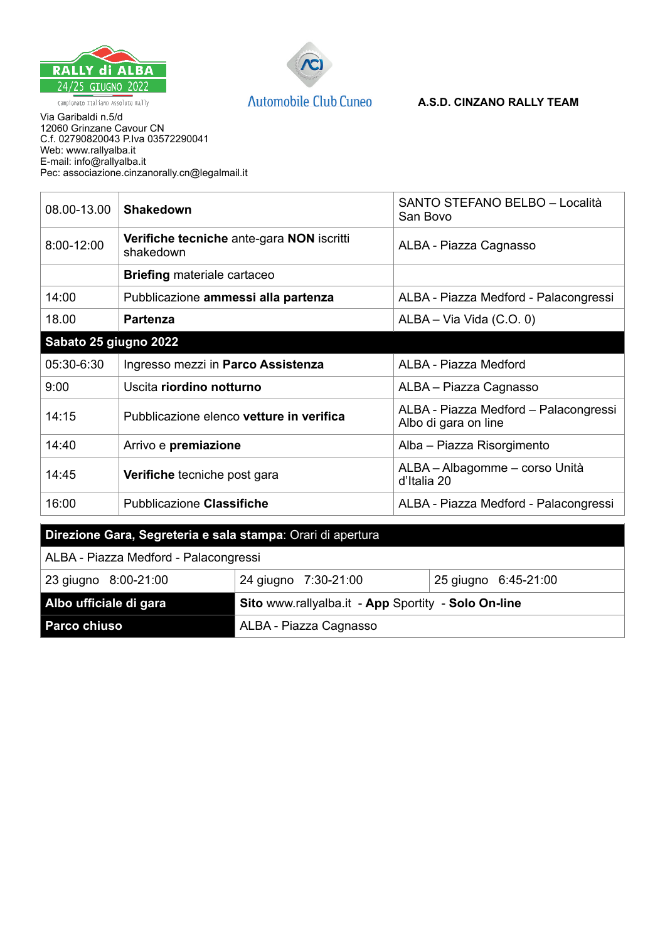



## **A.S.D. CINZANO RALLY TEAM**

Via Garibaldi n.5/d 12060 Grinzane Cavour CN C.f. 02790820043 P.Iva 03572290041 Web: www.rallyalba.it E-mail: info@rallyalba.it Pec: associazione.cinzanorally.cn@legalmail.it

| 08.00-13.00           | <b>Shakedown</b>                                       | SANTO STEFANO BELBO - Località<br>San Bovo                    |  |
|-----------------------|--------------------------------------------------------|---------------------------------------------------------------|--|
| 8:00-12:00            | Verifiche tecniche ante-gara NON iscritti<br>shakedown | ALBA - Piazza Cagnasso                                        |  |
|                       | <b>Briefing materiale cartaceo</b>                     |                                                               |  |
| 14:00                 | Pubblicazione ammessi alla partenza                    | ALBA - Piazza Medford - Palacongressi                         |  |
| 18.00                 | <b>Partenza</b>                                        | ALBA - Via Vida (C.O. 0)                                      |  |
| Sabato 25 giugno 2022 |                                                        |                                                               |  |
| 05:30-6:30            | Ingresso mezzi in Parco Assistenza                     | ALBA - Piazza Medford                                         |  |
| 9:00                  | Uscita riordino notturno                               | ALBA - Piazza Cagnasso                                        |  |
| 14:15                 | Pubblicazione elenco vetture in verifica               | ALBA - Piazza Medford - Palacongressi<br>Albo di gara on line |  |
| 14:40                 | Arrivo e premiazione                                   | Alba - Piazza Risorgimento                                    |  |
| 14:45                 | Verifiche tecniche post gara                           | ALBA - Albagomme - corso Unità<br>d'Italia 20                 |  |
| 16:00                 | <b>Pubblicazione Classifiche</b>                       | ALBA - Piazza Medford - Palacongressi                         |  |
|                       | <b>State State State</b><br><b>COL</b>                 |                                                               |  |

| Direzione Gara, Segreteria e sala stampa: Orari di apertura |  |  |  |
|-------------------------------------------------------------|--|--|--|
|                                                             |  |  |  |

| ALBA - Piazza Medford - Palacongressi |                                                     |                      |  |
|---------------------------------------|-----------------------------------------------------|----------------------|--|
| 23 giugno 8:00-21:00                  | 24 giugno 7:30-21:00                                | 25 giugno 6:45-21:00 |  |
| Albo ufficiale di gara                | Sito www.rallyalba.it - App Sportity - Solo On-line |                      |  |
| <b>Parco chiuso</b>                   | ALBA - Piazza Cagnasso                              |                      |  |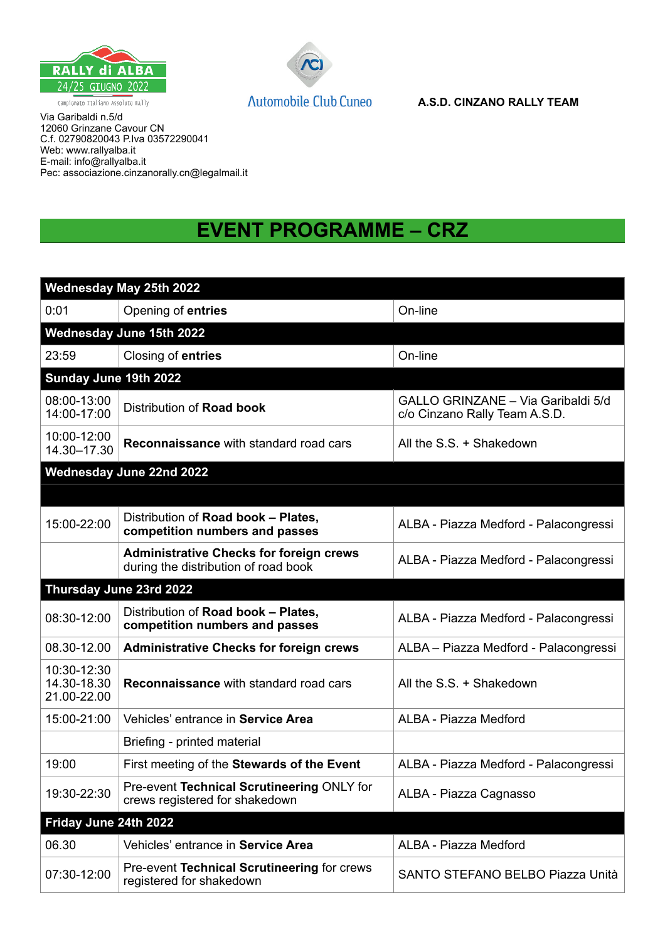



Via Garibaldi n.5/d 12060 Grinzane Cavour CN C.f. 02790820043 P.Iva 03572290041 Web: www.rallyalba.it E-mail: info@rallyalba.it Pec: associazione.cinzanorally.cn@legalmail.it

## **EVENT PROGRAMME – CRZ**

|                                           | Wednesday May 25th 2022                                                                |                                                                     |  |
|-------------------------------------------|----------------------------------------------------------------------------------------|---------------------------------------------------------------------|--|
| 0:01                                      | Opening of entries                                                                     | On-line                                                             |  |
|                                           | Wednesday June 15th 2022                                                               |                                                                     |  |
| 23:59                                     | Closing of entries                                                                     | On-line                                                             |  |
| Sunday June 19th 2022                     |                                                                                        |                                                                     |  |
| 08:00-13:00<br>14:00-17:00                | Distribution of Road book                                                              | GALLO GRINZANE - Via Garibaldi 5/d<br>c/o Cinzano Rally Team A.S.D. |  |
| 10:00-12:00<br>14.30-17.30                | <b>Reconnaissance with standard road cars</b>                                          | All the S.S. + Shakedown                                            |  |
|                                           | <b>Wednesday June 22nd 2022</b>                                                        |                                                                     |  |
|                                           |                                                                                        |                                                                     |  |
| 15:00-22:00                               | Distribution of Road book - Plates,<br>competition numbers and passes                  | ALBA - Piazza Medford - Palacongressi                               |  |
|                                           | <b>Administrative Checks for foreign crews</b><br>during the distribution of road book | ALBA - Piazza Medford - Palacongressi                               |  |
|                                           | Thursday June 23rd 2022                                                                |                                                                     |  |
| 08:30-12:00                               | Distribution of Road book - Plates,<br>competition numbers and passes                  | ALBA - Piazza Medford - Palacongressi                               |  |
| 08.30-12.00                               | <b>Administrative Checks for foreign crews</b>                                         | ALBA - Piazza Medford - Palacongressi                               |  |
| 10:30-12:30<br>14.30-18.30<br>21.00-22.00 | <b>Reconnaissance with standard road cars</b>                                          | All the S.S. + Shakedown                                            |  |
| 15:00-21:00                               | Vehicles' entrance in Service Area                                                     | ALBA - Piazza Medford                                               |  |
|                                           | Briefing - printed material                                                            |                                                                     |  |
| 19:00                                     | First meeting of the Stewards of the Event                                             | ALBA - Piazza Medford - Palacongressi                               |  |
| 19:30-22:30                               | Pre-event Technical Scrutineering ONLY for<br>crews registered for shakedown           | ALBA - Piazza Cagnasso                                              |  |
| Friday June 24th 2022                     |                                                                                        |                                                                     |  |
| 06.30                                     | Vehicles' entrance in Service Area                                                     | ALBA - Piazza Medford                                               |  |
| 07:30-12:00                               | Pre-event Technical Scrutineering for crews<br>registered for shakedown                | SANTO STEFANO BELBO Piazza Unità                                    |  |